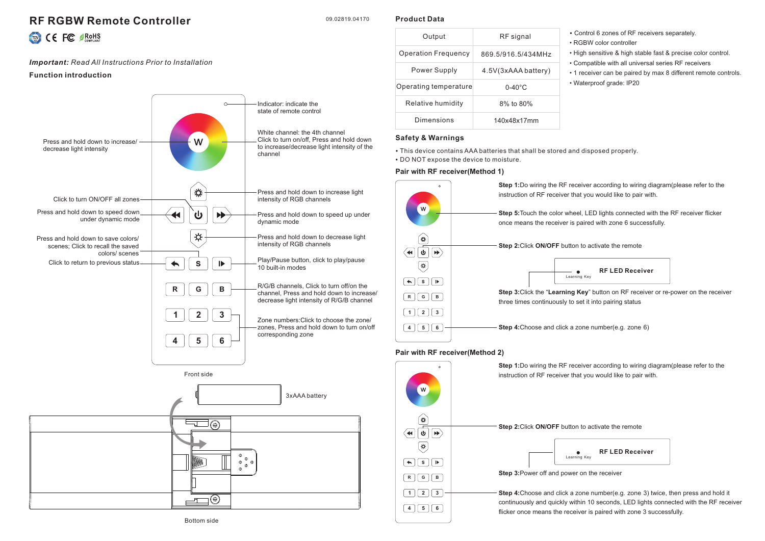# **RF RGBW Remote Controller**

09.02819.04170

**Product Data**

| <b>TIM</b> | FC | <b>ØRoH</b><br>COMPLIAN |
|------------|----|-------------------------|
|            |    |                         |

## *Important: Read All Instructions Prior to Installation*

## **Function introduction**



| Output                     | RF signal           |
|----------------------------|---------------------|
| <b>Operation Frequency</b> | 869.5/916.5/434MHz  |
| Power Supply               | 4.5V(3xAAA battery) |
| Operating temperature      | $0-40^{\circ}$ C    |
| Relative humidity          | 8% to 80%           |
| Dimensions                 | 140x48x17mm         |

- Control 6 zones of RF receivers separately.
- RGBW color controller
- High sensitive & high stable fast & precise color control.
- Compatible with all universal series RF receivers
- 1 receiver can be paired by max 8 different remote controls. • Waterproof grade: IP20

## **Safety & Warnings**

• This device contains AAA batteries that shall be stored and disposed properly.

• DO NOT expose the device to moisture.

## **Pair with RF receiver(Method 1)**



## **Pair with RF receiver(Method 2)**



**Step 1:**Do wiring the RF receiver according to wiring diagram(please refer to the instruction of RF receiver that you would like to pair with.

**Step 4:**Choose and click a zone number(e.g. zone 3) twice, then press and hold it continuously and quickly within 10 seconds, LED lights connected with the RF receiver flicker once means the receiver is paired with zone 3 successfully.